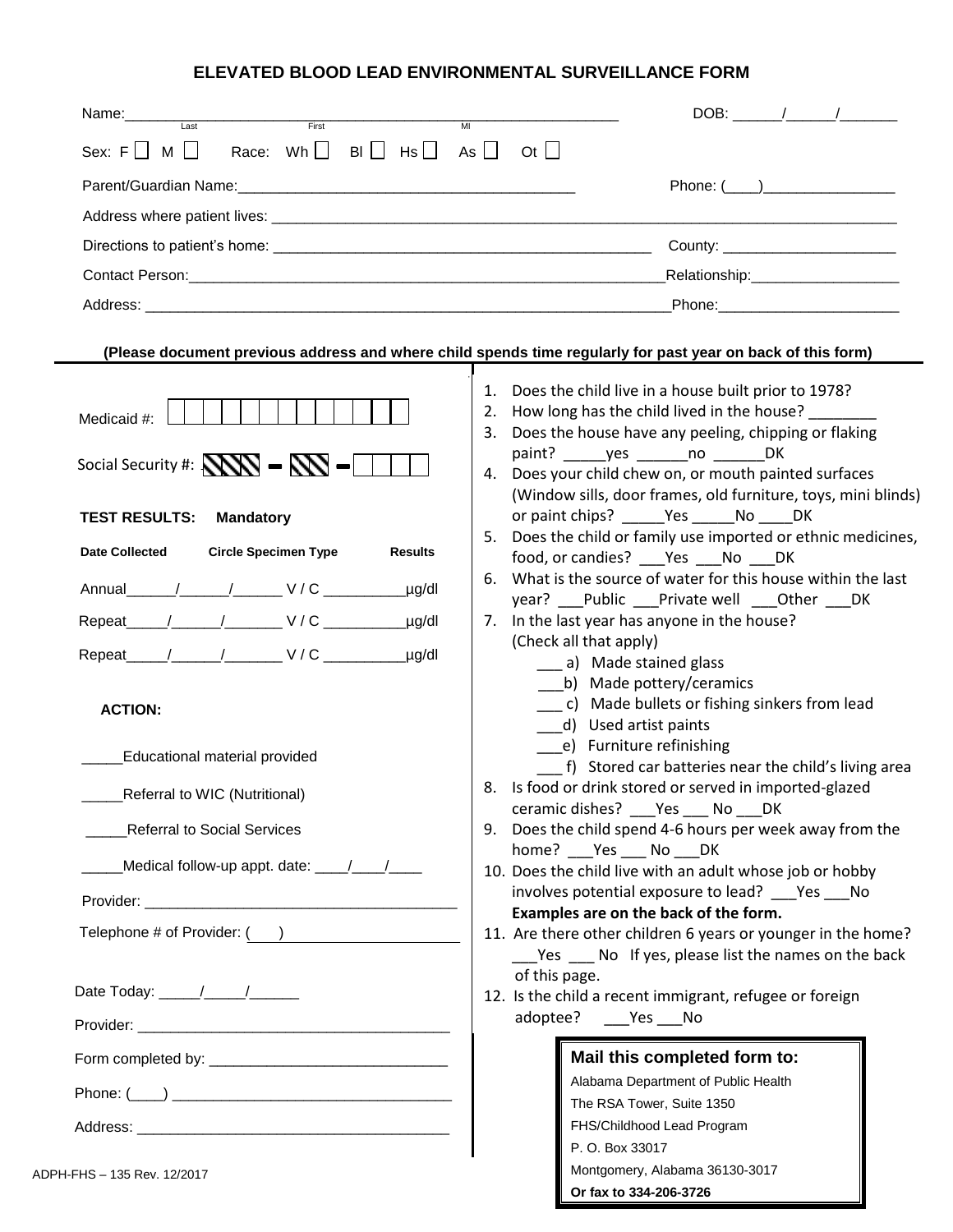## **ELEVATED BLOOD LEAD ENVIRONMENTAL SURVEILLANCE FORM**

| Name:<br>Last<br>First                                                                                                                                                                                                                                                                                                                 | $DOB:$ / /<br>MI                                                                                                                                                                                                                                                                                                                                                                                                                                                                                                                                                                                                                                                                                                                                                                                                                                                                                                                                                                       |
|----------------------------------------------------------------------------------------------------------------------------------------------------------------------------------------------------------------------------------------------------------------------------------------------------------------------------------------|----------------------------------------------------------------------------------------------------------------------------------------------------------------------------------------------------------------------------------------------------------------------------------------------------------------------------------------------------------------------------------------------------------------------------------------------------------------------------------------------------------------------------------------------------------------------------------------------------------------------------------------------------------------------------------------------------------------------------------------------------------------------------------------------------------------------------------------------------------------------------------------------------------------------------------------------------------------------------------------|
| Race: Wh $\square$<br>$BI \cup HS \cup As \cup Ct \cup$<br>Sex: $F \cup M \cup$                                                                                                                                                                                                                                                        |                                                                                                                                                                                                                                                                                                                                                                                                                                                                                                                                                                                                                                                                                                                                                                                                                                                                                                                                                                                        |
|                                                                                                                                                                                                                                                                                                                                        | Phone: $(\_\_)$                                                                                                                                                                                                                                                                                                                                                                                                                                                                                                                                                                                                                                                                                                                                                                                                                                                                                                                                                                        |
|                                                                                                                                                                                                                                                                                                                                        |                                                                                                                                                                                                                                                                                                                                                                                                                                                                                                                                                                                                                                                                                                                                                                                                                                                                                                                                                                                        |
|                                                                                                                                                                                                                                                                                                                                        | County: __________________________                                                                                                                                                                                                                                                                                                                                                                                                                                                                                                                                                                                                                                                                                                                                                                                                                                                                                                                                                     |
|                                                                                                                                                                                                                                                                                                                                        | _Relationship:______________________                                                                                                                                                                                                                                                                                                                                                                                                                                                                                                                                                                                                                                                                                                                                                                                                                                                                                                                                                   |
|                                                                                                                                                                                                                                                                                                                                        | Phone: The Committee of the Committee of the Committee of the Committee of the Committee of the Committee of the Committee of the Committee of the Committee of the Committee of the Committee of the Committee of the Committ                                                                                                                                                                                                                                                                                                                                                                                                                                                                                                                                                                                                                                                                                                                                                         |
|                                                                                                                                                                                                                                                                                                                                        | (Please document previous address and where child spends time regularly for past year on back of this form)                                                                                                                                                                                                                                                                                                                                                                                                                                                                                                                                                                                                                                                                                                                                                                                                                                                                            |
| Medicaid #:<br>Social Security #: $N = N$                                                                                                                                                                                                                                                                                              | Does the child live in a house built prior to 1978?<br>1.<br>How long has the child lived in the house?<br>2.<br>3. Does the house have any peeling, chipping or flaking<br>paint? yes no DK<br>4. Does your child chew on, or mouth painted surfaces<br>(Window sills, door frames, old furniture, toys, mini blinds)                                                                                                                                                                                                                                                                                                                                                                                                                                                                                                                                                                                                                                                                 |
| <b>TEST RESULTS:</b><br><b>Mandatory</b>                                                                                                                                                                                                                                                                                               | or paint chips? Yes No DK                                                                                                                                                                                                                                                                                                                                                                                                                                                                                                                                                                                                                                                                                                                                                                                                                                                                                                                                                              |
| <b>Circle Specimen Type</b><br><b>Date Collected</b><br><b>Results</b><br>$\mu$ g/dl<br>_µg/dl<br>Repeat / / / / V/C<br>µg/dl<br><b>ACTION:</b><br>Educational material provided<br>_Referral to WIC (Nutritional)<br><b>Referral to Social Services</b><br>Medical follow-up appt. date: ____/___/____<br>Telephone # of Provider: () | 5. Does the child or family use imported or ethnic medicines,<br>food, or candies? Yes No DK<br>6. What is the source of water for this house within the last<br>year? __Public __Private well __Other ___DK<br>7. In the last year has anyone in the house?<br>(Check all that apply)<br>____ a) Made stained glass<br>b) Made pottery/ceramics<br>c) Made bullets or fishing sinkers from lead<br>d) Used artist paints<br>e) Furniture refinishing<br>f) Stored car batteries near the child's living area<br>8. Is food or drink stored or served in imported-glazed<br>ceramic dishes? ___ Yes ___ No ___ DK<br>9. Does the child spend 4-6 hours per week away from the<br>home? Yes No DK<br>10. Does the child live with an adult whose job or hobby<br>involves potential exposure to lead? ___Yes ___No<br>Examples are on the back of the form.<br>11. Are there other children 6 years or younger in the home?<br>___Yes ____ No If yes, please list the names on the back |
|                                                                                                                                                                                                                                                                                                                                        | of this page.<br>12. Is the child a recent immigrant, refugee or foreign<br>adoptee? Yes No<br>Mail this completed form to:<br>Alabama Department of Public Health<br>The RSA Tower, Suite 1350<br>FHS/Childhood Lead Program<br>P. O. Box 33017                                                                                                                                                                                                                                                                                                                                                                                                                                                                                                                                                                                                                                                                                                                                       |
| -FHS - 135 Rev. 12/2017                                                                                                                                                                                                                                                                                                                | Montgomery, Alabama 36130-3017                                                                                                                                                                                                                                                                                                                                                                                                                                                                                                                                                                                                                                                                                                                                                                                                                                                                                                                                                         |

**Or fax to 334-206-3726**